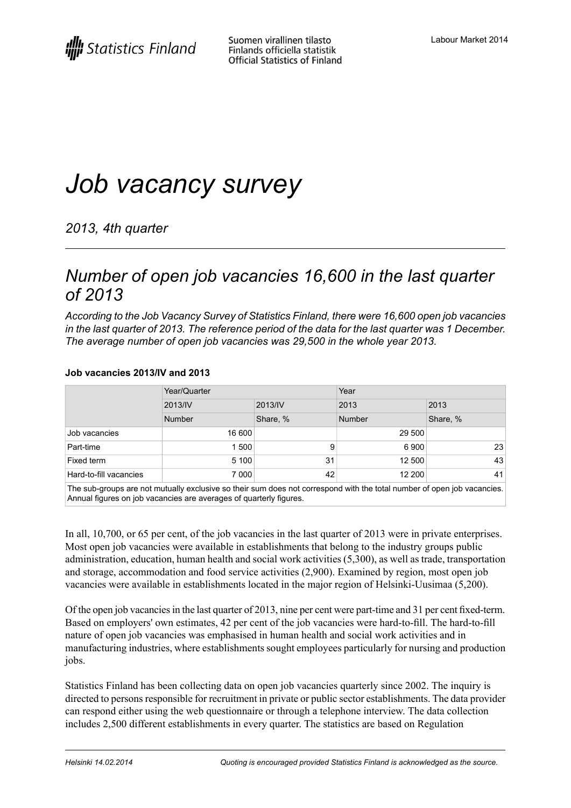# *Job vacancy survey*

*2013, 4th quarter*

### *Number of open job vacancies 16,600 in the last quarter of 2013*

*According to the Job Vacancy Survey of Statistics Finland, there were 16,600 open job vacancies* in the last quarter of 2013. The reference period of the data for the last quarter was 1 December. *The average number of open job vacancies was 29,500 in the whole year 2013.*

### **Job vacancies 2013/IV and 2013**

|                        | Year/Quarter |          | Year   |          |
|------------------------|--------------|----------|--------|----------|
|                        | 2013/IV      | 2013/IV  | 2013   | 2013     |
|                        | Number       | Share, % | Number | Share, % |
| Job vacancies          | 16 600       |          | 29 500 |          |
| Part-time              | 1 500        | 9        | 6900   | 23       |
| Fixed term             | 5 100        | 31       | 12 500 | 43       |
| Hard-to-fill vacancies | 7 000        | 42       | 12 200 | 41       |

The sub-groups are not mutually exclusive so their sum does not correspond with the total number of open job vacancies. Annual figures on job vacancies are averages of quarterly figures.

In all, 10,700, or 65 per cent, of the job vacancies in the last quarter of 2013 were in private enterprises. Most open job vacancies were available in establishments that belong to the industry groups public administration, education, human health and social work activities (5,300), as well as trade, transportation and storage, accommodation and food service activities (2,900). Examined by region, most open job vacancies were available in establishments located in the major region of Helsinki-Uusimaa (5,200).

Of the open job vacanciesin the last quarter of 2013, nine per cent were part-time and 31 per cent fixed-term. Based on employers' own estimates, 42 per cent of the job vacancies were hard-to-fill. The hard-to-fill nature of open job vacancies was emphasised in human health and social work activities and in manufacturing industries, where establishments sought employees particularly for nursing and production jobs.

Statistics Finland has been collecting data on open job vacancies quarterly since 2002. The inquiry is directed to persons responsible for recruitment in private or public sector establishments. The data provider can respond either using the web questionnaire or through a telephone interview. The data collection includes 2,500 different establishments in every quarter. The statistics are based on Regulation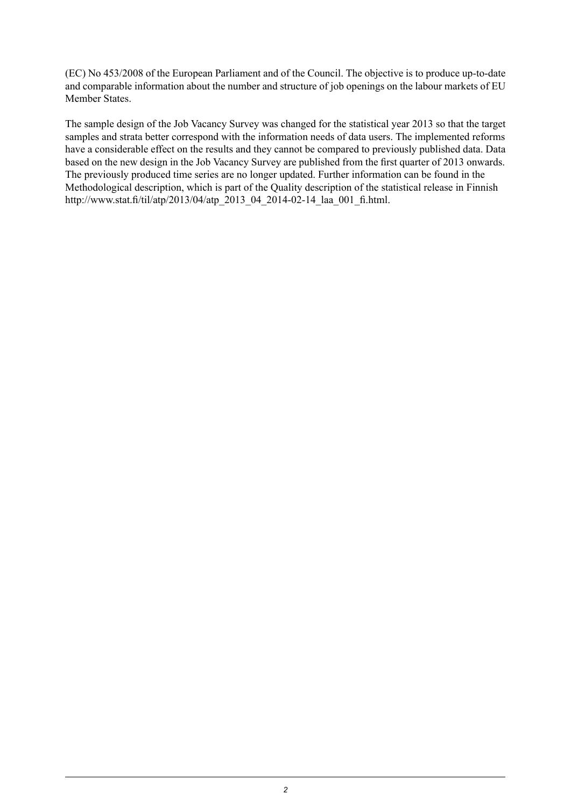(EC) No 453/2008 of the European Parliament and of the Council. The objective is to produce up-to-date and comparable information about the number and structure of job openings on the labour markets of EU Member States.

The sample design of the Job Vacancy Survey was changed for the statistical year 2013 so that the target samples and strata better correspond with the information needs of data users. The implemented reforms have a considerable effect on the results and they cannot be compared to previously published data. Data based on the new design in the Job Vacancy Survey are published from the first quarter of 2013 onwards. The previously produced time series are no longer updated. Further information can be found in the Methodological description, which is part of the Quality description of the statistical release in Finnish http://www.stat.fi/til/atp/2013/04/atp\_2013\_04\_2014-02-14\_laa\_001\_fi.html.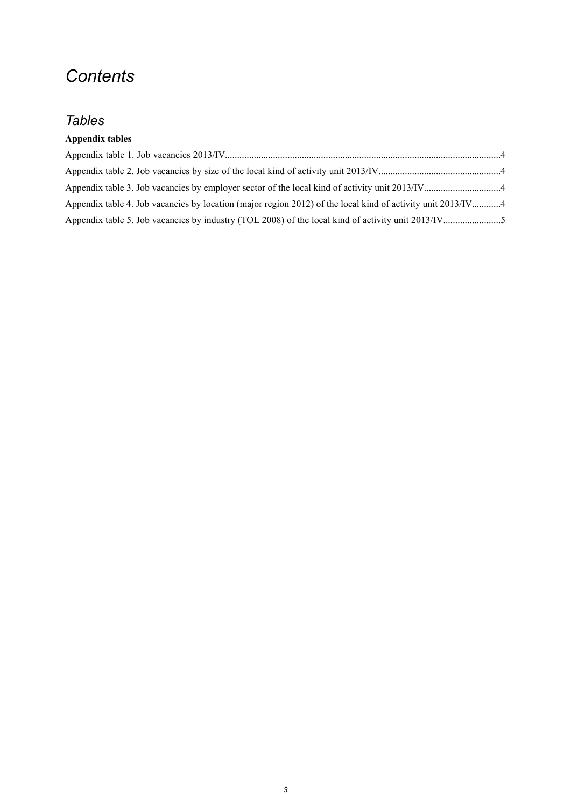## *Contents*

### *Tables*

### **Appendix tables**

| Appendix table 4. Job vacancies by location (major region 2012) of the local kind of activity unit 2013/IV4 |  |
|-------------------------------------------------------------------------------------------------------------|--|
|                                                                                                             |  |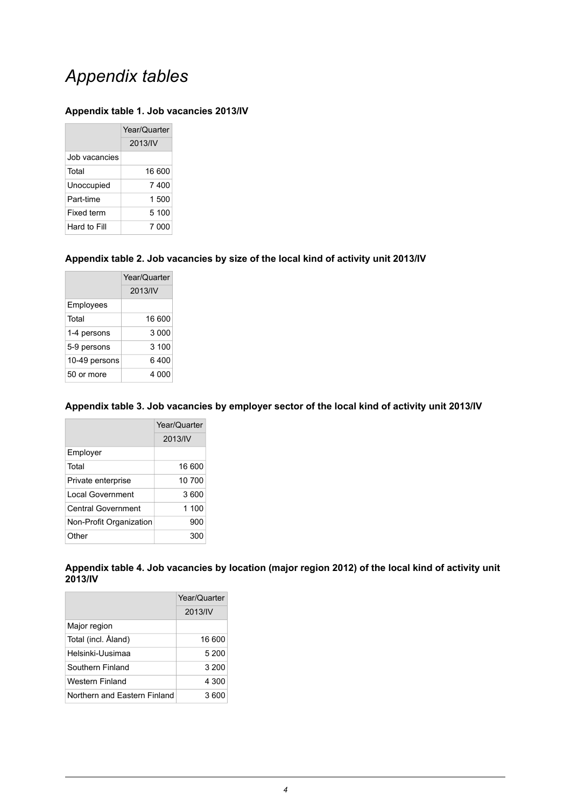## *Appendix tables*

#### <span id="page-3-0"></span>**Appendix table 1. Job vacancies 2013/IV**

|               | Year/Quarter |
|---------------|--------------|
|               | 2013/IV      |
| Job vacancies |              |
| Total         | 16.600       |
| Unoccupied    | 7 400        |
| Part-time     | 1.500        |
| Fixed term    | 5 100        |
| Hard to Fill  | 7 000        |

#### <span id="page-3-1"></span>**Appendix table 2. Job vacancies by size of the local kind of activity unit 2013/IV**

|               | Year/Quarter |  |
|---------------|--------------|--|
|               | 2013/IV      |  |
| Employees     |              |  |
| Total         | 16 600       |  |
| 1-4 persons   | 3 000        |  |
| 5-9 persons   | 3 100        |  |
| 10-49 persons | 6 400        |  |
| 50 or more    | 4 000        |  |

#### <span id="page-3-2"></span>**Appendix table 3. Job vacancies by employer sector of the local kind of activity unit 2013/IV**

|                           | Year/Quarter |  |
|---------------------------|--------------|--|
|                           | 2013/IV      |  |
| Employer                  |              |  |
| Total                     | 16 600       |  |
| Private enterprise        | 10 700       |  |
| Local Government          | 3.600        |  |
| <b>Central Government</b> | 1 100        |  |
| Non-Profit Organization   | 900          |  |
| Other                     | 300          |  |

<span id="page-3-3"></span>**Appendix table 4. Job vacancies by location (major region 2012) of the local kind of activity unit 2013/IV**

|                              | Year/Quarter |  |
|------------------------------|--------------|--|
|                              | 2013/IV      |  |
| Major region                 |              |  |
| Total (incl. Åland)          | 16 600       |  |
| Helsinki-Uusimaa             | 5 200        |  |
| Southern Finland             | 3 200        |  |
| Western Finland              | 4 300        |  |
| Northern and Eastern Finland | 3 600        |  |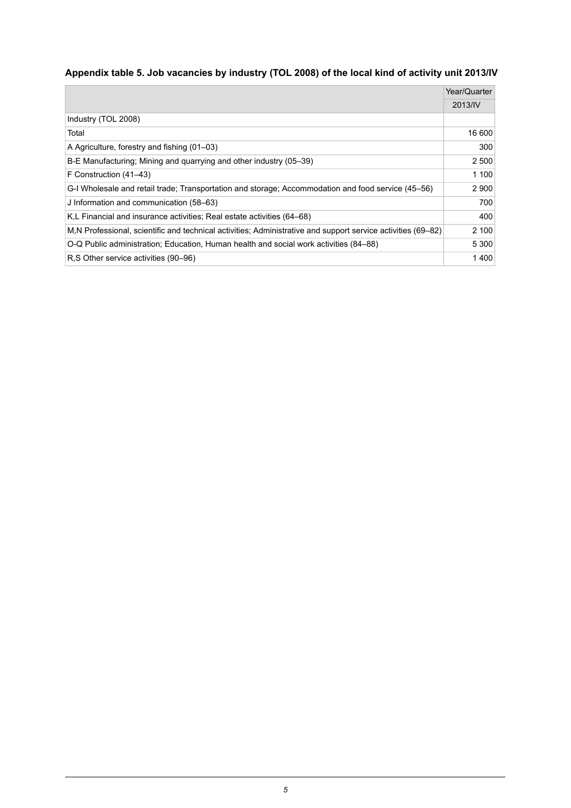### <span id="page-4-0"></span>**Appendix table 5. Job vacancies by industry (TOL 2008) of the local kind of activity unit 2013/IV**

|                                                                                                              | Year/Quarter |
|--------------------------------------------------------------------------------------------------------------|--------------|
|                                                                                                              | 2013/IV      |
| Industry (TOL 2008)                                                                                          |              |
| Total                                                                                                        | 16 600       |
| A Agriculture, forestry and fishing (01–03)                                                                  | 300          |
| B-E Manufacturing; Mining and quarrying and other industry (05–39)                                           | 2 500        |
| F Construction (41–43)                                                                                       | 1 100        |
| G-I Wholesale and retail trade: Transportation and storage: Accommodation and food service (45–56)           | 2 9 0 0      |
| J Information and communication (58–63)                                                                      | 700          |
| K.L Financial and insurance activities: Real estate activities (64–68)                                       | 400          |
| M.N Professional, scientific and technical activities; Administrative and support service activities (69–82) | 2 100        |
| O-Q Public administration; Education, Human health and social work activities (84–88)                        | 5 3 0 0      |
| R.S Other service activities (90–96)                                                                         | 1400         |